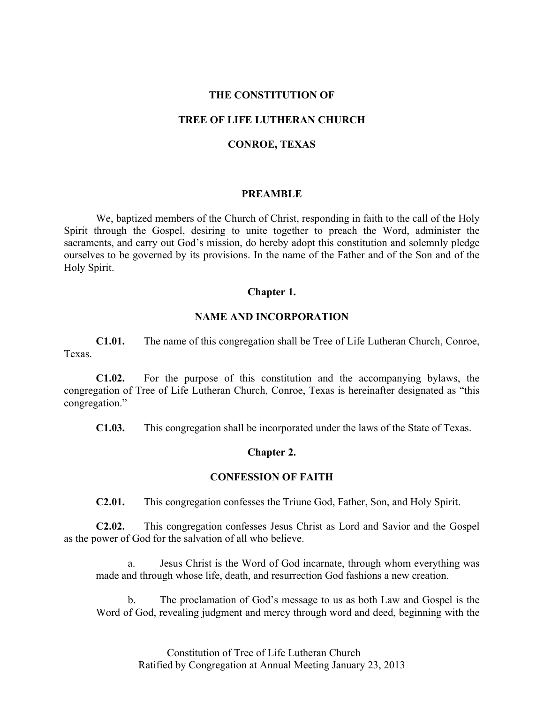#### **THE CONSTITUTION OF**

### **TREE OF LIFE LUTHERAN CHURCH**

#### **CONROE, TEXAS**

#### **PREAMBLE**

We, baptized members of the Church of Christ, responding in faith to the call of the Holy Spirit through the Gospel, desiring to unite together to preach the Word, administer the sacraments, and carry out God's mission, do hereby adopt this constitution and solemnly pledge ourselves to be governed by its provisions. In the name of the Father and of the Son and of the Holy Spirit.

### **Chapter 1.**

#### **NAME AND INCORPORATION**

**C1.01.** The name of this congregation shall be Tree of Life Lutheran Church, Conroe, Texas.

**C1.02.** For the purpose of this constitution and the accompanying bylaws, the congregation of Tree of Life Lutheran Church, Conroe, Texas is hereinafter designated as "this congregation."

**C1.03.** This congregation shall be incorporated under the laws of the State of Texas.

#### **Chapter 2.**

#### **CONFESSION OF FAITH**

**C2.01.** This congregation confesses the Triune God, Father, Son, and Holy Spirit.

**C2.02.** This congregation confesses Jesus Christ as Lord and Savior and the Gospel as the power of God for the salvation of all who believe.

a. Jesus Christ is the Word of God incarnate, through whom everything was made and through whose life, death, and resurrection God fashions a new creation.

b. The proclamation of God's message to us as both Law and Gospel is the Word of God, revealing judgment and mercy through word and deed, beginning with the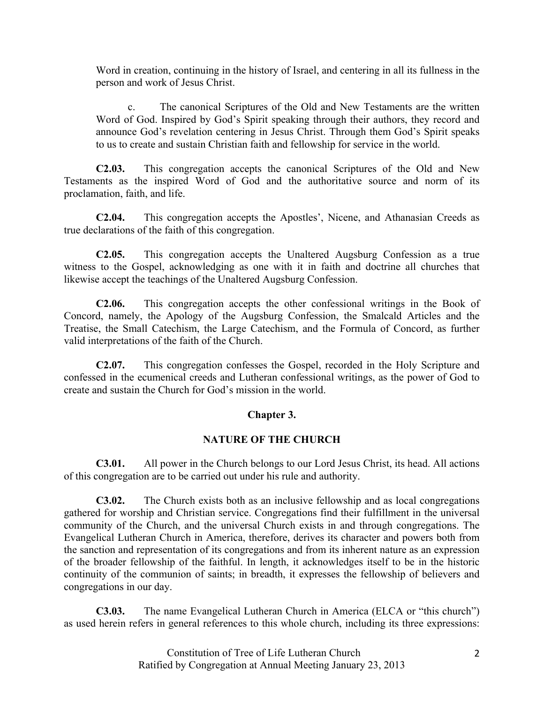Word in creation, continuing in the history of Israel, and centering in all its fullness in the person and work of Jesus Christ.

c. The canonical Scriptures of the Old and New Testaments are the written Word of God. Inspired by God's Spirit speaking through their authors, they record and announce God's revelation centering in Jesus Christ. Through them God's Spirit speaks to us to create and sustain Christian faith and fellowship for service in the world.

**C2.03.** This congregation accepts the canonical Scriptures of the Old and New Testaments as the inspired Word of God and the authoritative source and norm of its proclamation, faith, and life.

**C2.04.** This congregation accepts the Apostles', Nicene, and Athanasian Creeds as true declarations of the faith of this congregation.

**C2.05.** This congregation accepts the Unaltered Augsburg Confession as a true witness to the Gospel, acknowledging as one with it in faith and doctrine all churches that likewise accept the teachings of the Unaltered Augsburg Confession.

**C2.06.** This congregation accepts the other confessional writings in the Book of Concord, namely, the Apology of the Augsburg Confession, the Smalcald Articles and the Treatise, the Small Catechism, the Large Catechism, and the Formula of Concord, as further valid interpretations of the faith of the Church.

**C2.07.** This congregation confesses the Gospel, recorded in the Holy Scripture and confessed in the ecumenical creeds and Lutheran confessional writings, as the power of God to create and sustain the Church for God's mission in the world.

# **Chapter 3.**

## **NATURE OF THE CHURCH**

**C3.01.** All power in the Church belongs to our Lord Jesus Christ, its head. All actions of this congregation are to be carried out under his rule and authority.

**C3.02.** The Church exists both as an inclusive fellowship and as local congregations gathered for worship and Christian service. Congregations find their fulfillment in the universal community of the Church, and the universal Church exists in and through congregations. The Evangelical Lutheran Church in America, therefore, derives its character and powers both from the sanction and representation of its congregations and from its inherent nature as an expression of the broader fellowship of the faithful. In length, it acknowledges itself to be in the historic continuity of the communion of saints; in breadth, it expresses the fellowship of believers and congregations in our day.

**C3.03.** The name Evangelical Lutheran Church in America (ELCA or "this church") as used herein refers in general references to this whole church, including its three expressions: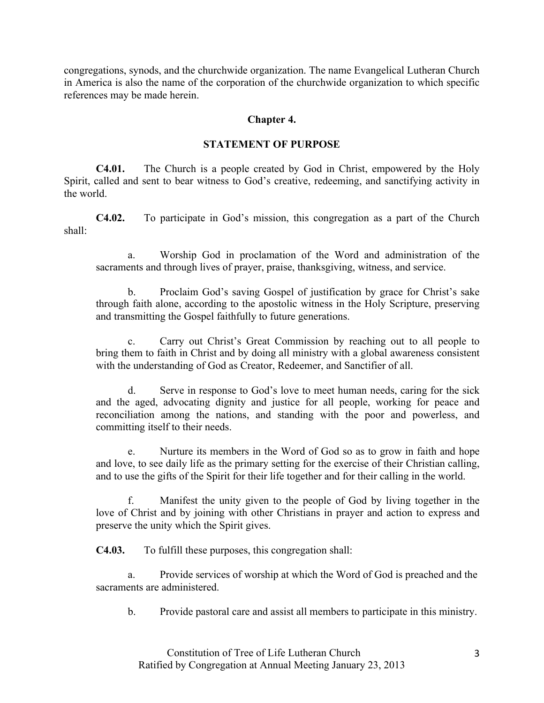congregations, synods, and the churchwide organization. The name Evangelical Lutheran Church in America is also the name of the corporation of the churchwide organization to which specific references may be made herein.

#### **Chapter 4.**

#### **STATEMENT OF PURPOSE**

**C4.01.** The Church is a people created by God in Christ, empowered by the Holy Spirit, called and sent to bear witness to God's creative, redeeming, and sanctifying activity in the world.

**C4.02.** To participate in God's mission, this congregation as a part of the Church shall:

a. Worship God in proclamation of the Word and administration of the sacraments and through lives of prayer, praise, thanksgiving, witness, and service.

b. Proclaim God's saving Gospel of justification by grace for Christ's sake through faith alone, according to the apostolic witness in the Holy Scripture, preserving and transmitting the Gospel faithfully to future generations.

c. Carry out Christ's Great Commission by reaching out to all people to bring them to faith in Christ and by doing all ministry with a global awareness consistent with the understanding of God as Creator, Redeemer, and Sanctifier of all.

d. Serve in response to God's love to meet human needs, caring for the sick and the aged, advocating dignity and justice for all people, working for peace and reconciliation among the nations, and standing with the poor and powerless, and committing itself to their needs.

e. Nurture its members in the Word of God so as to grow in faith and hope and love, to see daily life as the primary setting for the exercise of their Christian calling, and to use the gifts of the Spirit for their life together and for their calling in the world.

Manifest the unity given to the people of God by living together in the love of Christ and by joining with other Christians in prayer and action to express and preserve the unity which the Spirit gives.

**C4.03.** To fulfill these purposes, this congregation shall:

a. Provide services of worship at which the Word of God is preached and the sacraments are administered.

b. Provide pastoral care and assist all members to participate in this ministry.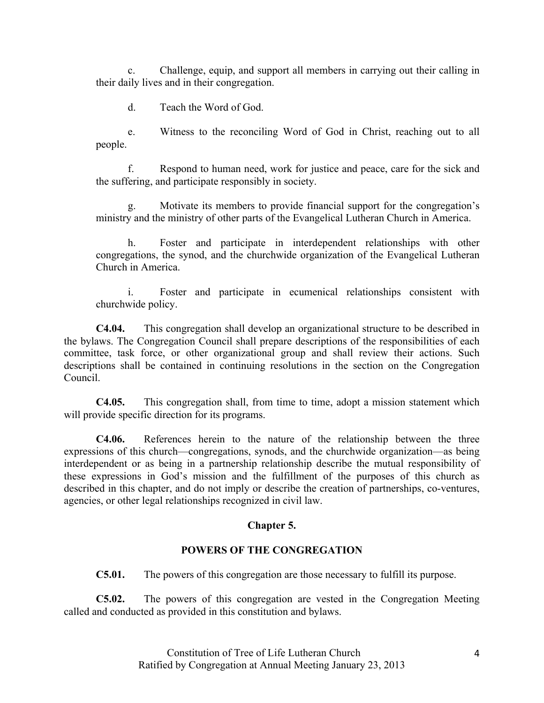c. Challenge, equip, and support all members in carrying out their calling in their daily lives and in their congregation.

d. Teach the Word of God.

e. Witness to the reconciling Word of God in Christ, reaching out to all people.

f. Respond to human need, work for justice and peace, care for the sick and the suffering, and participate responsibly in society.

g. Motivate its members to provide financial support for the congregation's ministry and the ministry of other parts of the Evangelical Lutheran Church in America.

h. Foster and participate in interdependent relationships with other congregations, the synod, and the churchwide organization of the Evangelical Lutheran Church in America.

i. Foster and participate in ecumenical relationships consistent with churchwide policy.

**C4.04.** This congregation shall develop an organizational structure to be described in the bylaws. The Congregation Council shall prepare descriptions of the responsibilities of each committee, task force, or other organizational group and shall review their actions. Such descriptions shall be contained in continuing resolutions in the section on the Congregation Council.

**C4.05.** This congregation shall, from time to time, adopt a mission statement which will provide specific direction for its programs.

**C4.06.** References herein to the nature of the relationship between the three expressions of this church—congregations, synods, and the churchwide organization—as being interdependent or as being in a partnership relationship describe the mutual responsibility of these expressions in God's mission and the fulfillment of the purposes of this church as described in this chapter, and do not imply or describe the creation of partnerships, co-ventures, agencies, or other legal relationships recognized in civil law.

# **Chapter 5.**

## **POWERS OF THE CONGREGATION**

**C5.01.** The powers of this congregation are those necessary to fulfill its purpose.

**C5.02.** The powers of this congregation are vested in the Congregation Meeting called and conducted as provided in this constitution and bylaws.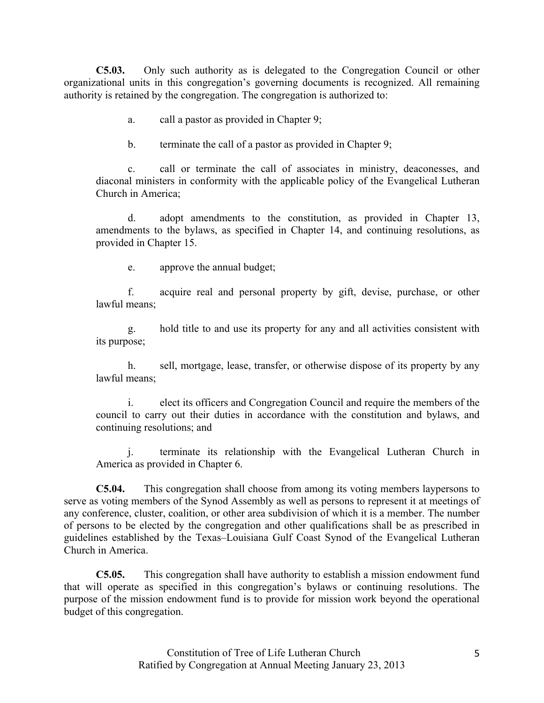**C5.03.** Only such authority as is delegated to the Congregation Council or other organizational units in this congregation's governing documents is recognized. All remaining authority is retained by the congregation. The congregation is authorized to:

- a. call a pastor as provided in Chapter 9;
- b. terminate the call of a pastor as provided in Chapter 9;

c. call or terminate the call of associates in ministry, deaconesses, and diaconal ministers in conformity with the applicable policy of the Evangelical Lutheran Church in America;

d. adopt amendments to the constitution, as provided in Chapter 13, amendments to the bylaws, as specified in Chapter 14, and continuing resolutions, as provided in Chapter 15.

e. approve the annual budget;

f. acquire real and personal property by gift, devise, purchase, or other lawful means;

g. hold title to and use its property for any and all activities consistent with its purpose;

h. sell, mortgage, lease, transfer, or otherwise dispose of its property by any lawful means;

i. elect its officers and Congregation Council and require the members of the council to carry out their duties in accordance with the constitution and bylaws, and continuing resolutions; and

j. terminate its relationship with the Evangelical Lutheran Church in America as provided in Chapter 6.

**C5.04.** This congregation shall choose from among its voting members laypersons to serve as voting members of the Synod Assembly as well as persons to represent it at meetings of any conference, cluster, coalition, or other area subdivision of which it is a member. The number of persons to be elected by the congregation and other qualifications shall be as prescribed in guidelines established by the Texas–Louisiana Gulf Coast Synod of the Evangelical Lutheran Church in America.

**C5.05.** This congregation shall have authority to establish a mission endowment fund that will operate as specified in this congregation's bylaws or continuing resolutions. The purpose of the mission endowment fund is to provide for mission work beyond the operational budget of this congregation.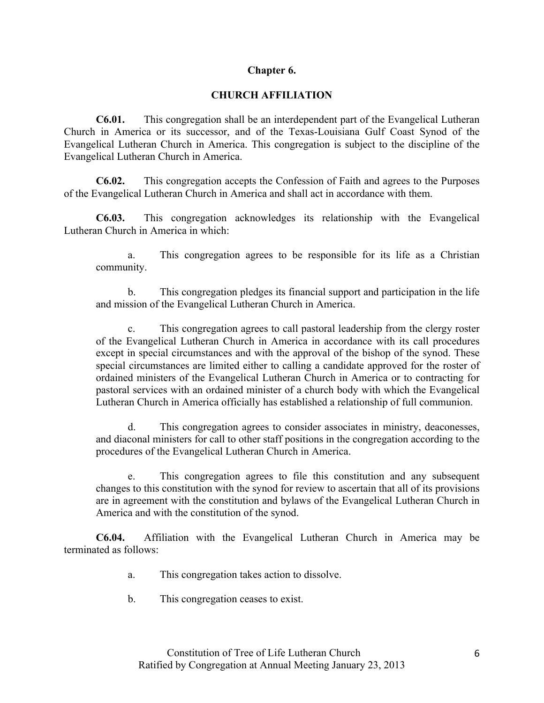# **Chapter 6.**

# **CHURCH AFFILIATION**

**C6.01.** This congregation shall be an interdependent part of the Evangelical Lutheran Church in America or its successor, and of the Texas-Louisiana Gulf Coast Synod of the Evangelical Lutheran Church in America. This congregation is subject to the discipline of the Evangelical Lutheran Church in America.

**C6.02.** This congregation accepts the Confession of Faith and agrees to the Purposes of the Evangelical Lutheran Church in America and shall act in accordance with them.

**C6.03.** This congregation acknowledges its relationship with the Evangelical Lutheran Church in America in which:

a. This congregation agrees to be responsible for its life as a Christian community.

b. This congregation pledges its financial support and participation in the life and mission of the Evangelical Lutheran Church in America.

c. This congregation agrees to call pastoral leadership from the clergy roster of the Evangelical Lutheran Church in America in accordance with its call procedures except in special circumstances and with the approval of the bishop of the synod. These special circumstances are limited either to calling a candidate approved for the roster of ordained ministers of the Evangelical Lutheran Church in America or to contracting for pastoral services with an ordained minister of a church body with which the Evangelical Lutheran Church in America officially has established a relationship of full communion.

d. This congregation agrees to consider associates in ministry, deaconesses, and diaconal ministers for call to other staff positions in the congregation according to the procedures of the Evangelical Lutheran Church in America.

e. This congregation agrees to file this constitution and any subsequent changes to this constitution with the synod for review to ascertain that all of its provisions are in agreement with the constitution and bylaws of the Evangelical Lutheran Church in America and with the constitution of the synod.

**C6.04.** Affiliation with the Evangelical Lutheran Church in America may be terminated as follows:

- a. This congregation takes action to dissolve.
- b. This congregation ceases to exist.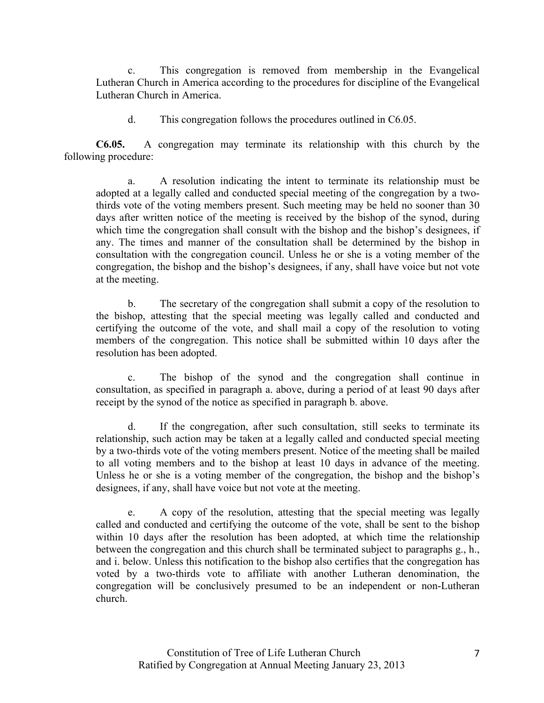c. This congregation is removed from membership in the Evangelical Lutheran Church in America according to the procedures for discipline of the Evangelical Lutheran Church in America.

d. This congregation follows the procedures outlined in C6.05.

**C6.05.** A congregation may terminate its relationship with this church by the following procedure:

a. A resolution indicating the intent to terminate its relationship must be adopted at a legally called and conducted special meeting of the congregation by a twothirds vote of the voting members present. Such meeting may be held no sooner than 30 days after written notice of the meeting is received by the bishop of the synod, during which time the congregation shall consult with the bishop and the bishop's designees, if any. The times and manner of the consultation shall be determined by the bishop in consultation with the congregation council. Unless he or she is a voting member of the congregation, the bishop and the bishop's designees, if any, shall have voice but not vote at the meeting.

b. The secretary of the congregation shall submit a copy of the resolution to the bishop, attesting that the special meeting was legally called and conducted and certifying the outcome of the vote, and shall mail a copy of the resolution to voting members of the congregation. This notice shall be submitted within 10 days after the resolution has been adopted.

c. The bishop of the synod and the congregation shall continue in consultation, as specified in paragraph a. above, during a period of at least 90 days after receipt by the synod of the notice as specified in paragraph b. above.

d. If the congregation, after such consultation, still seeks to terminate its relationship, such action may be taken at a legally called and conducted special meeting by a two-thirds vote of the voting members present. Notice of the meeting shall be mailed to all voting members and to the bishop at least 10 days in advance of the meeting. Unless he or she is a voting member of the congregation, the bishop and the bishop's designees, if any, shall have voice but not vote at the meeting.

e. A copy of the resolution, attesting that the special meeting was legally called and conducted and certifying the outcome of the vote, shall be sent to the bishop within 10 days after the resolution has been adopted, at which time the relationship between the congregation and this church shall be terminated subject to paragraphs g., h., and i. below. Unless this notification to the bishop also certifies that the congregation has voted by a two-thirds vote to affiliate with another Lutheran denomination, the congregation will be conclusively presumed to be an independent or non-Lutheran church.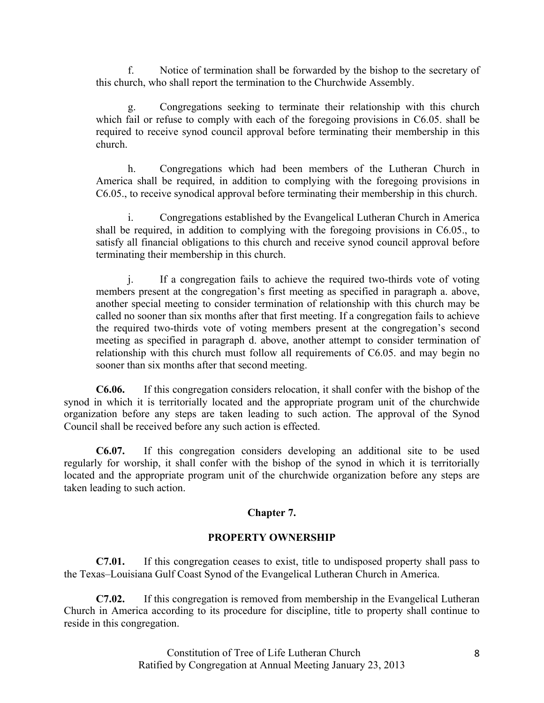Notice of termination shall be forwarded by the bishop to the secretary of this church, who shall report the termination to the Churchwide Assembly.

Congregations seeking to terminate their relationship with this church which fail or refuse to comply with each of the foregoing provisions in C6.05. shall be required to receive synod council approval before terminating their membership in this church.

h. Congregations which had been members of the Lutheran Church in America shall be required, in addition to complying with the foregoing provisions in C6.05., to receive synodical approval before terminating their membership in this church.

i. Congregations established by the Evangelical Lutheran Church in America shall be required, in addition to complying with the foregoing provisions in C6.05., to satisfy all financial obligations to this church and receive synod council approval before terminating their membership in this church.

j. If a congregation fails to achieve the required two-thirds vote of voting members present at the congregation's first meeting as specified in paragraph a. above, another special meeting to consider termination of relationship with this church may be called no sooner than six months after that first meeting. If a congregation fails to achieve the required two-thirds vote of voting members present at the congregation's second meeting as specified in paragraph d. above, another attempt to consider termination of relationship with this church must follow all requirements of C6.05. and may begin no sooner than six months after that second meeting.

**C6.06.** If this congregation considers relocation, it shall confer with the bishop of the synod in which it is territorially located and the appropriate program unit of the churchwide organization before any steps are taken leading to such action. The approval of the Synod Council shall be received before any such action is effected.

**C6.07.** If this congregation considers developing an additional site to be used regularly for worship, it shall confer with the bishop of the synod in which it is territorially located and the appropriate program unit of the churchwide organization before any steps are taken leading to such action.

# **Chapter 7.**

# **PROPERTY OWNERSHIP**

**C7.01.** If this congregation ceases to exist, title to undisposed property shall pass to the Texas–Louisiana Gulf Coast Synod of the Evangelical Lutheran Church in America.

**C7.02.** If this congregation is removed from membership in the Evangelical Lutheran Church in America according to its procedure for discipline, title to property shall continue to reside in this congregation.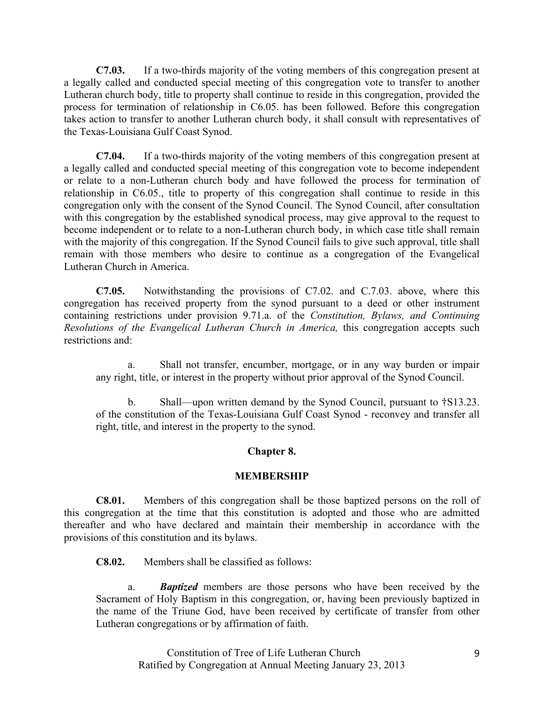**C7.03.** If a two-thirds majority of the voting members of this congregation present at a legally called and conducted special meeting of this congregation vote to transfer to another Lutheran church body, title to property shall continue to reside in this congregation, provided the process for termination of relationship in C6.05. has been followed. Before this congregation takes action to transfer to another Lutheran church body, it shall consult with representatives of the Texas-Louisiana Gulf Coast Synod.

**C7.04.** If a two-thirds majority of the voting members of this congregation present at a legally called and conducted special meeting of this congregation vote to become independent or relate to a non-Lutheran church body and have followed the process for termination of relationship in C6.05., title to property of this congregation shall continue to reside in this congregation only with the consent of the Synod Council. The Synod Council, after consultation with this congregation by the established synodical process, may give approval to the request to become independent or to relate to a non-Lutheran church body, in which case title shall remain with the majority of this congregation. If the Synod Council fails to give such approval, title shall remain with those members who desire to continue as a congregation of the Evangelical Lutheran Church in America.

**C7.05.** Notwithstanding the provisions of C7.02. and C.7.03. above, where this congregation has received property from the synod pursuant to a deed or other instrument containing restrictions under provision 9.71.a. of the *Constitution, Bylaws, and Continuing Resolutions of the Evangelical Lutheran Church in America,* this congregation accepts such restrictions and:

a. Shall not transfer, encumber, mortgage, or in any way burden or impair any right, title, or interest in the property without prior approval of the Synod Council.

b. Shall—upon written demand by the Synod Council, pursuant to **†**S13.23. of the constitution of the Texas-Louisiana Gulf Coast Synod - reconvey and transfer all right, title, and interest in the property to the synod.

## **Chapter 8.**

## **MEMBERSHIP**

**C8.01.** Members of this congregation shall be those baptized persons on the roll of this congregation at the time that this constitution is adopted and those who are admitted thereafter and who have declared and maintain their membership in accordance with the provisions of this constitution and its bylaws.

**C8.02.** Members shall be classified as follows:

a. *Baptized* members are those persons who have been received by the Sacrament of Holy Baptism in this congregation, or, having been previously baptized in the name of the Triune God, have been received by certificate of transfer from other Lutheran congregations or by affirmation of faith.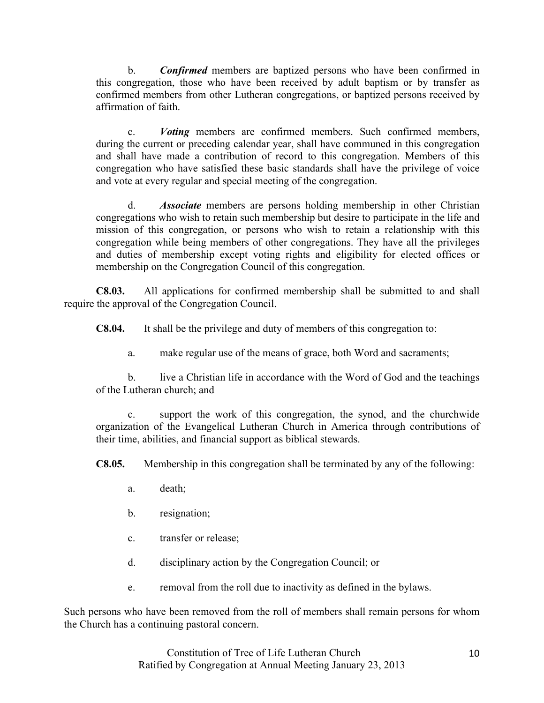b. *Confirmed* members are baptized persons who have been confirmed in this congregation, those who have been received by adult baptism or by transfer as confirmed members from other Lutheran congregations, or baptized persons received by affirmation of faith.

c. *Voting* members are confirmed members. Such confirmed members, during the current or preceding calendar year, shall have communed in this congregation and shall have made a contribution of record to this congregation. Members of this congregation who have satisfied these basic standards shall have the privilege of voice and vote at every regular and special meeting of the congregation.

d. *Associate* members are persons holding membership in other Christian congregations who wish to retain such membership but desire to participate in the life and mission of this congregation, or persons who wish to retain a relationship with this congregation while being members of other congregations. They have all the privileges and duties of membership except voting rights and eligibility for elected offices or membership on the Congregation Council of this congregation.

**C8.03.** All applications for confirmed membership shall be submitted to and shall require the approval of the Congregation Council.

**C8.04.** It shall be the privilege and duty of members of this congregation to:

a. make regular use of the means of grace, both Word and sacraments;

b. live a Christian life in accordance with the Word of God and the teachings of the Lutheran church; and

c. support the work of this congregation, the synod, and the churchwide organization of the Evangelical Lutheran Church in America through contributions of their time, abilities, and financial support as biblical stewards.

**C8.05.** Membership in this congregation shall be terminated by any of the following:

- a. death;
- b. resignation;
- c. transfer or release;
- d. disciplinary action by the Congregation Council; or
- e. removal from the roll due to inactivity as defined in the bylaws.

Such persons who have been removed from the roll of members shall remain persons for whom the Church has a continuing pastoral concern.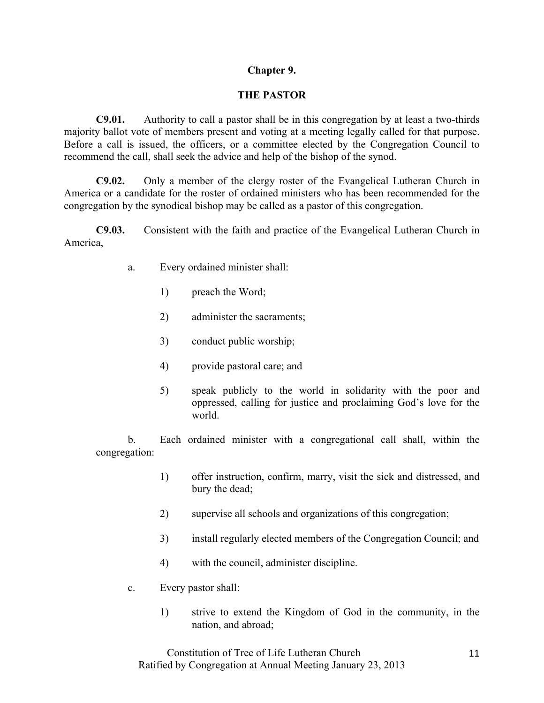# **Chapter 9.**

# **THE PASTOR**

**C9.01.** Authority to call a pastor shall be in this congregation by at least a two-thirds majority ballot vote of members present and voting at a meeting legally called for that purpose. Before a call is issued, the officers, or a committee elected by the Congregation Council to recommend the call, shall seek the advice and help of the bishop of the synod.

**C9.02.** Only a member of the clergy roster of the Evangelical Lutheran Church in America or a candidate for the roster of ordained ministers who has been recommended for the congregation by the synodical bishop may be called as a pastor of this congregation.

**C9.03.** Consistent with the faith and practice of the Evangelical Lutheran Church in America,

- a. Every ordained minister shall:
	- 1) preach the Word;
	- 2) administer the sacraments;
	- 3) conduct public worship;
	- 4) provide pastoral care; and
	- 5) speak publicly to the world in solidarity with the poor and oppressed, calling for justice and proclaiming God's love for the world.

b. Each ordained minister with a congregational call shall, within the congregation:

- 1) offer instruction, confirm, marry, visit the sick and distressed, and bury the dead;
- 2) supervise all schools and organizations of this congregation;
- 3) install regularly elected members of the Congregation Council; and
- 4) with the council, administer discipline.
- c. Every pastor shall:
	- 1) strive to extend the Kingdom of God in the community, in the nation, and abroad;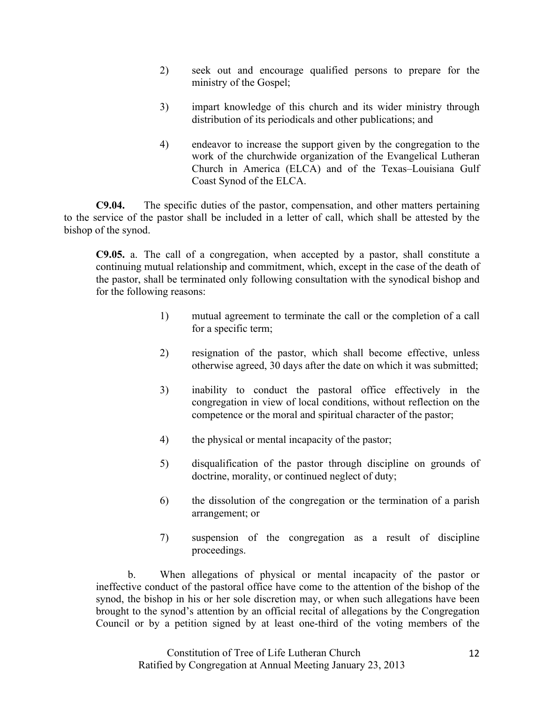- 2) seek out and encourage qualified persons to prepare for the ministry of the Gospel;
- 3) impart knowledge of this church and its wider ministry through distribution of its periodicals and other publications; and
- 4) endeavor to increase the support given by the congregation to the work of the churchwide organization of the Evangelical Lutheran Church in America (ELCA) and of the Texas–Louisiana Gulf Coast Synod of the ELCA.

**C9.04.** The specific duties of the pastor, compensation, and other matters pertaining to the service of the pastor shall be included in a letter of call, which shall be attested by the bishop of the synod.

**C9.05.** a. The call of a congregation, when accepted by a pastor, shall constitute a continuing mutual relationship and commitment, which, except in the case of the death of the pastor, shall be terminated only following consultation with the synodical bishop and for the following reasons:

- 1) mutual agreement to terminate the call or the completion of a call for a specific term;
- 2) resignation of the pastor, which shall become effective, unless otherwise agreed, 30 days after the date on which it was submitted;
- 3) inability to conduct the pastoral office effectively in the congregation in view of local conditions, without reflection on the competence or the moral and spiritual character of the pastor;
- 4) the physical or mental incapacity of the pastor;
- 5) disqualification of the pastor through discipline on grounds of doctrine, morality, or continued neglect of duty;
- 6) the dissolution of the congregation or the termination of a parish arrangement; or
- 7) suspension of the congregation as a result of discipline proceedings.

b. When allegations of physical or mental incapacity of the pastor or ineffective conduct of the pastoral office have come to the attention of the bishop of the synod, the bishop in his or her sole discretion may, or when such allegations have been brought to the synod's attention by an official recital of allegations by the Congregation Council or by a petition signed by at least one-third of the voting members of the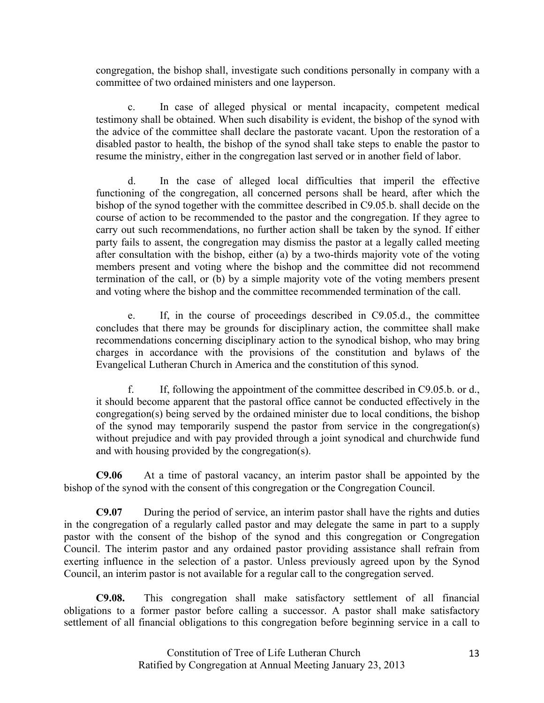congregation, the bishop shall, investigate such conditions personally in company with a committee of two ordained ministers and one layperson.

c. In case of alleged physical or mental incapacity, competent medical testimony shall be obtained. When such disability is evident, the bishop of the synod with the advice of the committee shall declare the pastorate vacant. Upon the restoration of a disabled pastor to health, the bishop of the synod shall take steps to enable the pastor to resume the ministry, either in the congregation last served or in another field of labor.

d. In the case of alleged local difficulties that imperil the effective functioning of the congregation, all concerned persons shall be heard, after which the bishop of the synod together with the committee described in C9.05.b. shall decide on the course of action to be recommended to the pastor and the congregation. If they agree to carry out such recommendations, no further action shall be taken by the synod. If either party fails to assent, the congregation may dismiss the pastor at a legally called meeting after consultation with the bishop, either (a) by a two-thirds majority vote of the voting members present and voting where the bishop and the committee did not recommend termination of the call, or (b) by a simple majority vote of the voting members present and voting where the bishop and the committee recommended termination of the call.

If, in the course of proceedings described in C9.05.d., the committee concludes that there may be grounds for disciplinary action, the committee shall make recommendations concerning disciplinary action to the synodical bishop, who may bring charges in accordance with the provisions of the constitution and bylaws of the Evangelical Lutheran Church in America and the constitution of this synod.

f. If, following the appointment of the committee described in C9.05.b. or d., it should become apparent that the pastoral office cannot be conducted effectively in the congregation(s) being served by the ordained minister due to local conditions, the bishop of the synod may temporarily suspend the pastor from service in the congregation(s) without prejudice and with pay provided through a joint synodical and churchwide fund and with housing provided by the congregation(s).

**C9.06** At a time of pastoral vacancy, an interim pastor shall be appointed by the bishop of the synod with the consent of this congregation or the Congregation Council.

**C9.07** During the period of service, an interim pastor shall have the rights and duties in the congregation of a regularly called pastor and may delegate the same in part to a supply pastor with the consent of the bishop of the synod and this congregation or Congregation Council. The interim pastor and any ordained pastor providing assistance shall refrain from exerting influence in the selection of a pastor. Unless previously agreed upon by the Synod Council, an interim pastor is not available for a regular call to the congregation served.

**C9.08.** This congregation shall make satisfactory settlement of all financial obligations to a former pastor before calling a successor. A pastor shall make satisfactory settlement of all financial obligations to this congregation before beginning service in a call to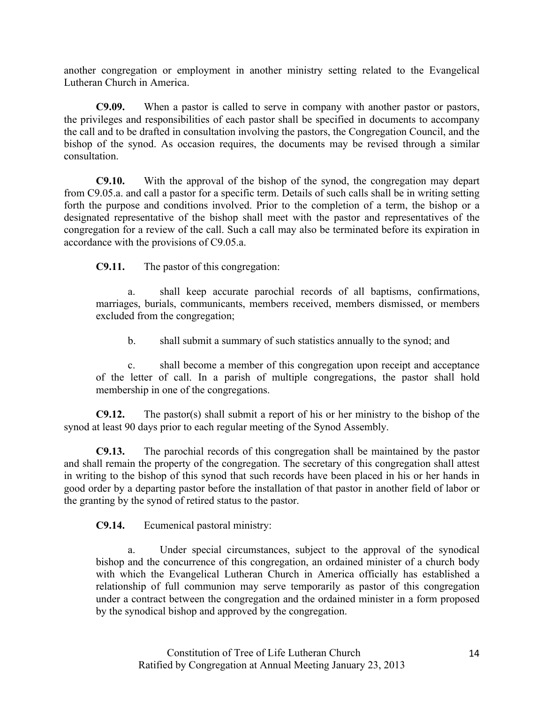another congregation or employment in another ministry setting related to the Evangelical Lutheran Church in America.

**C9.09.** When a pastor is called to serve in company with another pastor or pastors, the privileges and responsibilities of each pastor shall be specified in documents to accompany the call and to be drafted in consultation involving the pastors, the Congregation Council, and the bishop of the synod. As occasion requires, the documents may be revised through a similar consultation.

**C9.10.** With the approval of the bishop of the synod, the congregation may depart from C9.05.a. and call a pastor for a specific term. Details of such calls shall be in writing setting forth the purpose and conditions involved. Prior to the completion of a term, the bishop or a designated representative of the bishop shall meet with the pastor and representatives of the congregation for a review of the call. Such a call may also be terminated before its expiration in accordance with the provisions of C9.05.a.

**C9.11.** The pastor of this congregation:

a. shall keep accurate parochial records of all baptisms, confirmations, marriages, burials, communicants, members received, members dismissed, or members excluded from the congregation;

b. shall submit a summary of such statistics annually to the synod; and

c. shall become a member of this congregation upon receipt and acceptance of the letter of call. In a parish of multiple congregations, the pastor shall hold membership in one of the congregations.

**C9.12.** The pastor(s) shall submit a report of his or her ministry to the bishop of the synod at least 90 days prior to each regular meeting of the Synod Assembly.

**C9.13.** The parochial records of this congregation shall be maintained by the pastor and shall remain the property of the congregation. The secretary of this congregation shall attest in writing to the bishop of this synod that such records have been placed in his or her hands in good order by a departing pastor before the installation of that pastor in another field of labor or the granting by the synod of retired status to the pastor.

**C9.14.** Ecumenical pastoral ministry:

a. Under special circumstances, subject to the approval of the synodical bishop and the concurrence of this congregation, an ordained minister of a church body with which the Evangelical Lutheran Church in America officially has established a relationship of full communion may serve temporarily as pastor of this congregation under a contract between the congregation and the ordained minister in a form proposed by the synodical bishop and approved by the congregation.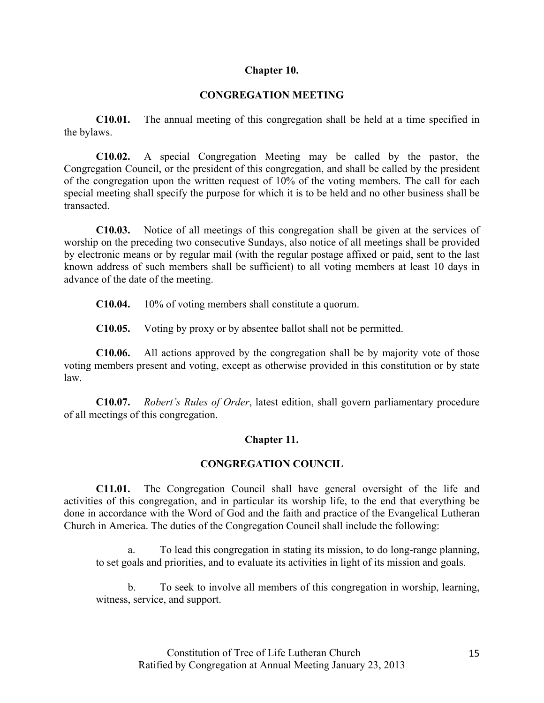## **Chapter 10.**

## **CONGREGATION MEETING**

**C10.01.** The annual meeting of this congregation shall be held at a time specified in the bylaws.

**C10.02.** A special Congregation Meeting may be called by the pastor, the Congregation Council, or the president of this congregation, and shall be called by the president of the congregation upon the written request of 10% of the voting members. The call for each special meeting shall specify the purpose for which it is to be held and no other business shall be transacted.

**C10.03.** Notice of all meetings of this congregation shall be given at the services of worship on the preceding two consecutive Sundays, also notice of all meetings shall be provided by electronic means or by regular mail (with the regular postage affixed or paid, sent to the last known address of such members shall be sufficient) to all voting members at least 10 days in advance of the date of the meeting.

**C10.04.** 10% of voting members shall constitute a quorum.

**C10.05.** Voting by proxy or by absentee ballot shall not be permitted.

**C10.06.** All actions approved by the congregation shall be by majority vote of those voting members present and voting, except as otherwise provided in this constitution or by state law.

**C10.07.** *Robert's Rules of Order*, latest edition, shall govern parliamentary procedure of all meetings of this congregation.

## **Chapter 11.**

## **CONGREGATION COUNCIL**

**C11.01.** The Congregation Council shall have general oversight of the life and activities of this congregation, and in particular its worship life, to the end that everything be done in accordance with the Word of God and the faith and practice of the Evangelical Lutheran Church in America. The duties of the Congregation Council shall include the following:

a. To lead this congregation in stating its mission, to do long-range planning, to set goals and priorities, and to evaluate its activities in light of its mission and goals.

b. To seek to involve all members of this congregation in worship, learning, witness, service, and support.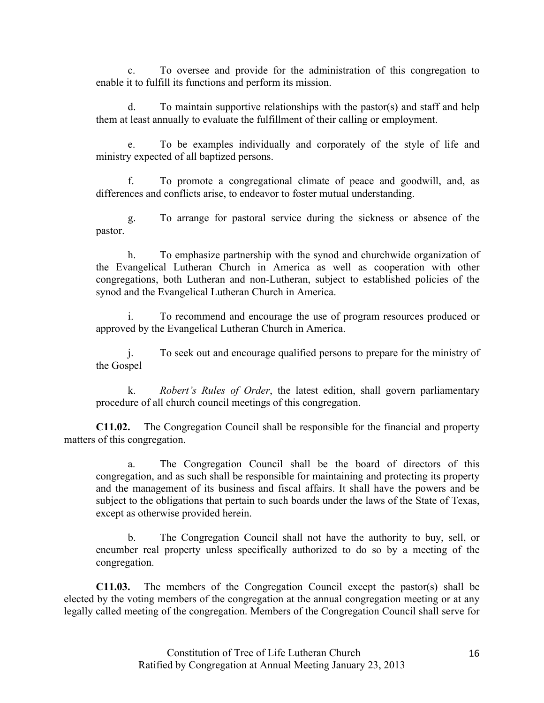c. To oversee and provide for the administration of this congregation to enable it to fulfill its functions and perform its mission.

d. To maintain supportive relationships with the pastor(s) and staff and help them at least annually to evaluate the fulfillment of their calling or employment.

To be examples individually and corporately of the style of life and ministry expected of all baptized persons.

f. To promote a congregational climate of peace and goodwill, and, as differences and conflicts arise, to endeavor to foster mutual understanding.

g. To arrange for pastoral service during the sickness or absence of the pastor.

h. To emphasize partnership with the synod and churchwide organization of the Evangelical Lutheran Church in America as well as cooperation with other congregations, both Lutheran and non-Lutheran, subject to established policies of the synod and the Evangelical Lutheran Church in America.

To recommend and encourage the use of program resources produced or approved by the Evangelical Lutheran Church in America.

j. To seek out and encourage qualified persons to prepare for the ministry of the Gospel

k. *Robert's Rules of Order*, the latest edition, shall govern parliamentary procedure of all church council meetings of this congregation.

**C11.02.** The Congregation Council shall be responsible for the financial and property matters of this congregation.

The Congregation Council shall be the board of directors of this congregation, and as such shall be responsible for maintaining and protecting its property and the management of its business and fiscal affairs. It shall have the powers and be subject to the obligations that pertain to such boards under the laws of the State of Texas, except as otherwise provided herein.

b. The Congregation Council shall not have the authority to buy, sell, or encumber real property unless specifically authorized to do so by a meeting of the congregation.

**C11.03.** The members of the Congregation Council except the pastor(s) shall be elected by the voting members of the congregation at the annual congregation meeting or at any legally called meeting of the congregation. Members of the Congregation Council shall serve for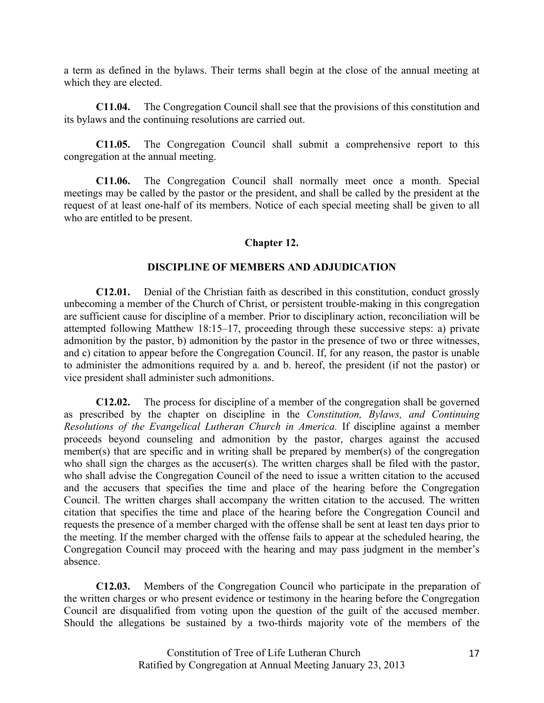a term as defined in the bylaws. Their terms shall begin at the close of the annual meeting at which they are elected.

**C11.04.** The Congregation Council shall see that the provisions of this constitution and its bylaws and the continuing resolutions are carried out.

**C11.05.** The Congregation Council shall submit a comprehensive report to this congregation at the annual meeting.

**C11.06.** The Congregation Council shall normally meet once a month. Special meetings may be called by the pastor or the president, and shall be called by the president at the request of at least one-half of its members. Notice of each special meeting shall be given to all who are entitled to be present.

# **Chapter 12.**

## **DISCIPLINE OF MEMBERS AND ADJUDICATION**

**C12.01.** Denial of the Christian faith as described in this constitution, conduct grossly unbecoming a member of the Church of Christ, or persistent trouble-making in this congregation are sufficient cause for discipline of a member. Prior to disciplinary action, reconciliation will be attempted following Matthew 18:15–17, proceeding through these successive steps: a) private admonition by the pastor, b) admonition by the pastor in the presence of two or three witnesses, and c) citation to appear before the Congregation Council. If, for any reason, the pastor is unable to administer the admonitions required by a. and b. hereof, the president (if not the pastor) or vice president shall administer such admonitions.

**C12.02.** The process for discipline of a member of the congregation shall be governed as prescribed by the chapter on discipline in the *Constitution, Bylaws, and Continuing Resolutions of the Evangelical Lutheran Church in America.* If discipline against a member proceeds beyond counseling and admonition by the pastor, charges against the accused member(s) that are specific and in writing shall be prepared by member(s) of the congregation who shall sign the charges as the accuser(s). The written charges shall be filed with the pastor, who shall advise the Congregation Council of the need to issue a written citation to the accused and the accusers that specifies the time and place of the hearing before the Congregation Council. The written charges shall accompany the written citation to the accused. The written citation that specifies the time and place of the hearing before the Congregation Council and requests the presence of a member charged with the offense shall be sent at least ten days prior to the meeting. If the member charged with the offense fails to appear at the scheduled hearing, the Congregation Council may proceed with the hearing and may pass judgment in the member's absence.

**C12.03.** Members of the Congregation Council who participate in the preparation of the written charges or who present evidence or testimony in the hearing before the Congregation Council are disqualified from voting upon the question of the guilt of the accused member. Should the allegations be sustained by a two-thirds majority vote of the members of the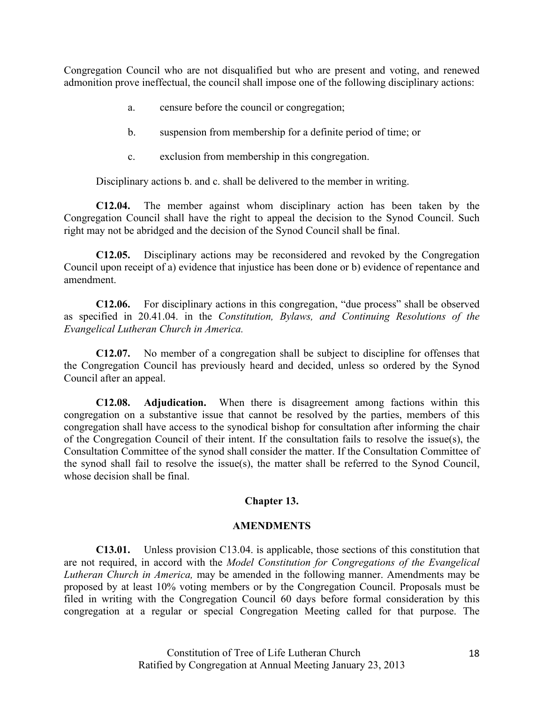Congregation Council who are not disqualified but who are present and voting, and renewed admonition prove ineffectual, the council shall impose one of the following disciplinary actions:

- a. censure before the council or congregation;
- b. suspension from membership for a definite period of time; or
- c. exclusion from membership in this congregation.

Disciplinary actions b. and c. shall be delivered to the member in writing.

**C12.04.** The member against whom disciplinary action has been taken by the Congregation Council shall have the right to appeal the decision to the Synod Council. Such right may not be abridged and the decision of the Synod Council shall be final.

**C12.05.** Disciplinary actions may be reconsidered and revoked by the Congregation Council upon receipt of a) evidence that injustice has been done or b) evidence of repentance and amendment.

**C12.06.** For disciplinary actions in this congregation, "due process" shall be observed as specified in 20.41.04. in the *Constitution, Bylaws, and Continuing Resolutions of the Evangelical Lutheran Church in America.* 

**C12.07.** No member of a congregation shall be subject to discipline for offenses that the Congregation Council has previously heard and decided, unless so ordered by the Synod Council after an appeal.

**C12.08. Adjudication.** When there is disagreement among factions within this congregation on a substantive issue that cannot be resolved by the parties, members of this congregation shall have access to the synodical bishop for consultation after informing the chair of the Congregation Council of their intent. If the consultation fails to resolve the issue(s), the Consultation Committee of the synod shall consider the matter. If the Consultation Committee of the synod shall fail to resolve the issue(s), the matter shall be referred to the Synod Council, whose decision shall be final.

#### **Chapter 13.**

#### **AMENDMENTS**

**C13.01.** Unless provision C13.04. is applicable, those sections of this constitution that are not required, in accord with the *Model Constitution for Congregations of the Evangelical Lutheran Church in America,* may be amended in the following manner. Amendments may be proposed by at least 10% voting members or by the Congregation Council. Proposals must be filed in writing with the Congregation Council 60 days before formal consideration by this congregation at a regular or special Congregation Meeting called for that purpose. The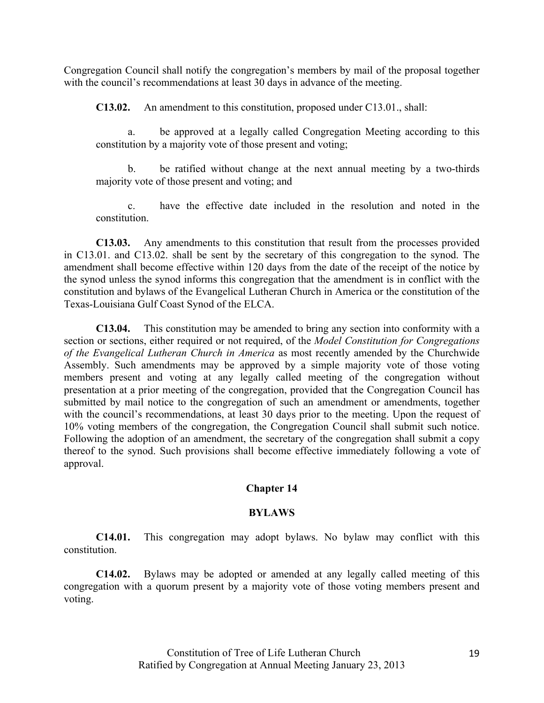Congregation Council shall notify the congregation's members by mail of the proposal together with the council's recommendations at least 30 days in advance of the meeting.

**C13.02.** An amendment to this constitution, proposed under C13.01., shall:

a. be approved at a legally called Congregation Meeting according to this constitution by a majority vote of those present and voting;

b. be ratified without change at the next annual meeting by a two-thirds majority vote of those present and voting; and

c. have the effective date included in the resolution and noted in the constitution.

**C13.03.** Any amendments to this constitution that result from the processes provided in C13.01. and C13.02. shall be sent by the secretary of this congregation to the synod. The amendment shall become effective within 120 days from the date of the receipt of the notice by the synod unless the synod informs this congregation that the amendment is in conflict with the constitution and bylaws of the Evangelical Lutheran Church in America or the constitution of the Texas-Louisiana Gulf Coast Synod of the ELCA.

**C13.04.** This constitution may be amended to bring any section into conformity with a section or sections, either required or not required, of the *Model Constitution for Congregations of the Evangelical Lutheran Church in America* as most recently amended by the Churchwide Assembly. Such amendments may be approved by a simple majority vote of those voting members present and voting at any legally called meeting of the congregation without presentation at a prior meeting of the congregation, provided that the Congregation Council has submitted by mail notice to the congregation of such an amendment or amendments, together with the council's recommendations, at least 30 days prior to the meeting. Upon the request of 10% voting members of the congregation, the Congregation Council shall submit such notice. Following the adoption of an amendment, the secretary of the congregation shall submit a copy thereof to the synod. Such provisions shall become effective immediately following a vote of approval.

# **Chapter 14**

## **BYLAWS**

**C14.01.** This congregation may adopt bylaws. No bylaw may conflict with this constitution.

**C14.02.** Bylaws may be adopted or amended at any legally called meeting of this congregation with a quorum present by a majority vote of those voting members present and voting.